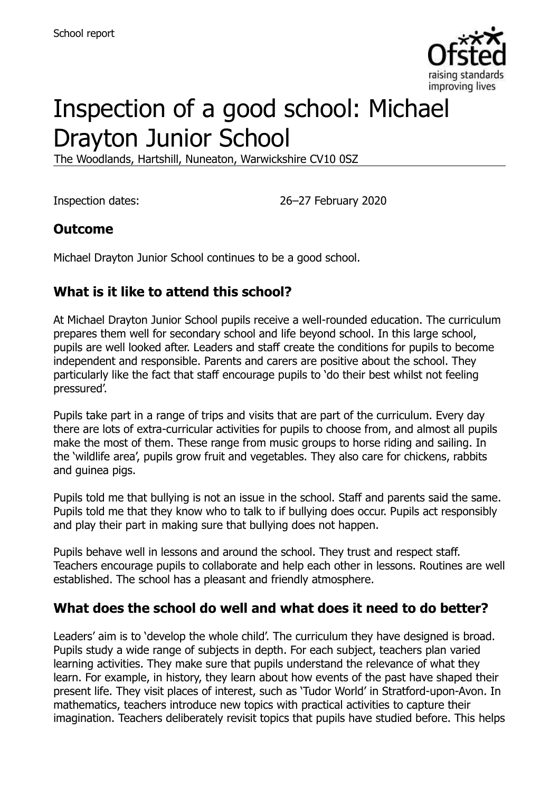

# Inspection of a good school: Michael Drayton Junior School

The Woodlands, Hartshill, Nuneaton, Warwickshire CV10 0SZ

Inspection dates: 26–27 February 2020

## **Outcome**

Michael Drayton Junior School continues to be a good school.

## **What is it like to attend this school?**

At Michael Drayton Junior School pupils receive a well-rounded education. The curriculum prepares them well for secondary school and life beyond school. In this large school, pupils are well looked after. Leaders and staff create the conditions for pupils to become independent and responsible. Parents and carers are positive about the school. They particularly like the fact that staff encourage pupils to 'do their best whilst not feeling pressured'.

Pupils take part in a range of trips and visits that are part of the curriculum. Every day there are lots of extra-curricular activities for pupils to choose from, and almost all pupils make the most of them. These range from music groups to horse riding and sailing. In the 'wildlife area', pupils grow fruit and vegetables. They also care for chickens, rabbits and guinea pigs.

Pupils told me that bullying is not an issue in the school. Staff and parents said the same. Pupils told me that they know who to talk to if bullying does occur. Pupils act responsibly and play their part in making sure that bullying does not happen.

Pupils behave well in lessons and around the school. They trust and respect staff. Teachers encourage pupils to collaborate and help each other in lessons. Routines are well established. The school has a pleasant and friendly atmosphere.

## **What does the school do well and what does it need to do better?**

Leaders' aim is to 'develop the whole child'. The curriculum they have designed is broad. Pupils study a wide range of subjects in depth. For each subject, teachers plan varied learning activities. They make sure that pupils understand the relevance of what they learn. For example, in history, they learn about how events of the past have shaped their present life. They visit places of interest, such as 'Tudor World' in Stratford-upon-Avon. In mathematics, teachers introduce new topics with practical activities to capture their imagination. Teachers deliberately revisit topics that pupils have studied before. This helps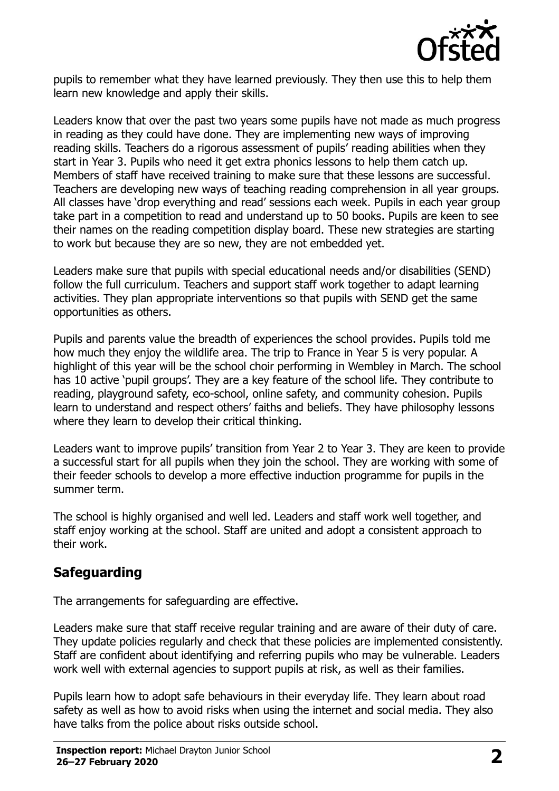

pupils to remember what they have learned previously. They then use this to help them learn new knowledge and apply their skills.

Leaders know that over the past two years some pupils have not made as much progress in reading as they could have done. They are implementing new ways of improving reading skills. Teachers do a rigorous assessment of pupils' reading abilities when they start in Year 3. Pupils who need it get extra phonics lessons to help them catch up. Members of staff have received training to make sure that these lessons are successful. Teachers are developing new ways of teaching reading comprehension in all year groups. All classes have 'drop everything and read' sessions each week. Pupils in each year group take part in a competition to read and understand up to 50 books. Pupils are keen to see their names on the reading competition display board. These new strategies are starting to work but because they are so new, they are not embedded yet.

Leaders make sure that pupils with special educational needs and/or disabilities (SEND) follow the full curriculum. Teachers and support staff work together to adapt learning activities. They plan appropriate interventions so that pupils with SEND get the same opportunities as others.

Pupils and parents value the breadth of experiences the school provides. Pupils told me how much they enjoy the wildlife area. The trip to France in Year 5 is very popular. A highlight of this year will be the school choir performing in Wembley in March. The school has 10 active 'pupil groups'. They are a key feature of the school life. They contribute to reading, playground safety, eco-school, online safety, and community cohesion. Pupils learn to understand and respect others' faiths and beliefs. They have philosophy lessons where they learn to develop their critical thinking.

Leaders want to improve pupils' transition from Year 2 to Year 3. They are keen to provide a successful start for all pupils when they join the school. They are working with some of their feeder schools to develop a more effective induction programme for pupils in the summer term.

The school is highly organised and well led. Leaders and staff work well together, and staff enjoy working at the school. Staff are united and adopt a consistent approach to their work.

#### **Safeguarding**

The arrangements for safeguarding are effective.

Leaders make sure that staff receive regular training and are aware of their duty of care. They update policies regularly and check that these policies are implemented consistently. Staff are confident about identifying and referring pupils who may be vulnerable. Leaders work well with external agencies to support pupils at risk, as well as their families.

Pupils learn how to adopt safe behaviours in their everyday life. They learn about road safety as well as how to avoid risks when using the internet and social media. They also have talks from the police about risks outside school.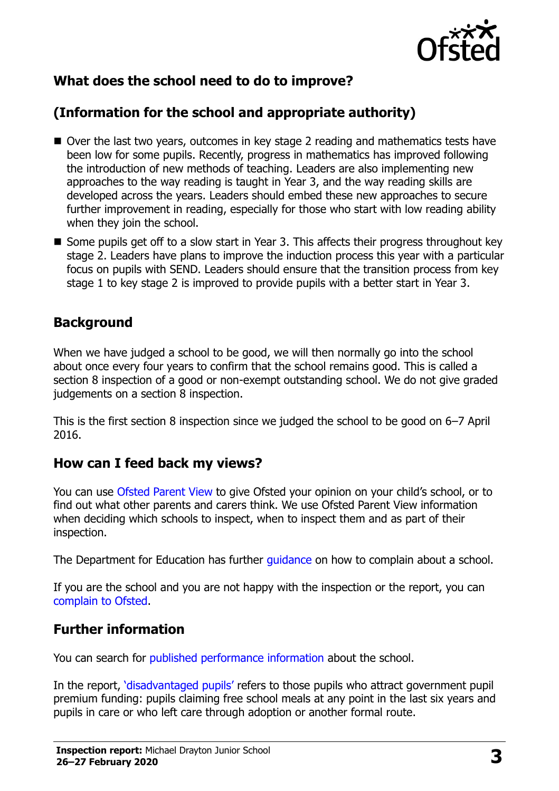

## **What does the school need to do to improve?**

## **(Information for the school and appropriate authority)**

- Over the last two years, outcomes in key stage 2 reading and mathematics tests have been low for some pupils. Recently, progress in mathematics has improved following the introduction of new methods of teaching. Leaders are also implementing new approaches to the way reading is taught in Year 3, and the way reading skills are developed across the years. Leaders should embed these new approaches to secure further improvement in reading, especially for those who start with low reading ability when they join the school.
- Some pupils get off to a slow start in Year 3. This affects their progress throughout key stage 2. Leaders have plans to improve the induction process this year with a particular focus on pupils with SEND. Leaders should ensure that the transition process from key stage 1 to key stage 2 is improved to provide pupils with a better start in Year 3.

#### **Background**

When we have judged a school to be good, we will then normally go into the school about once every four years to confirm that the school remains good. This is called a section 8 inspection of a good or non-exempt outstanding school. We do not give graded judgements on a section 8 inspection.

This is the first section 8 inspection since we judged the school to be good on 6–7 April 2016.

#### **How can I feed back my views?**

You can use [Ofsted Parent View](https://parentview.ofsted.gov.uk/) to give Ofsted your opinion on your child's school, or to find out what other parents and carers think. We use Ofsted Parent View information when deciding which schools to inspect, when to inspect them and as part of their inspection.

The Department for Education has further [guidance](http://www.gov.uk/complain-about-school) on how to complain about a school.

If you are the school and you are not happy with the inspection or the report, you can [complain to Ofsted.](https://www.gov.uk/complain-ofsted-report)

#### **Further information**

You can search for [published performance information](http://www.compare-school-performance.service.gov.uk/) about the school.

In the report, '[disadvantaged pupils](http://www.gov.uk/guidance/pupil-premium-information-for-schools-and-alternative-provision-settings)' refers to those pupils who attract government pupil premium funding: pupils claiming free school meals at any point in the last six years and pupils in care or who left care through adoption or another formal route.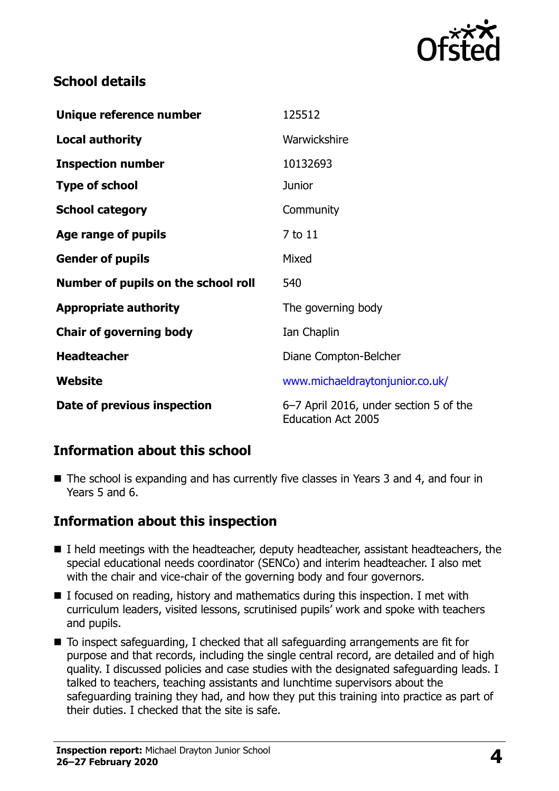

### **School details**

| Unique reference number             | 125512                                                              |
|-------------------------------------|---------------------------------------------------------------------|
| <b>Local authority</b>              | Warwickshire                                                        |
| <b>Inspection number</b>            | 10132693                                                            |
| <b>Type of school</b>               | <b>Junior</b>                                                       |
| <b>School category</b>              | Community                                                           |
| Age range of pupils                 | 7 to 11                                                             |
| <b>Gender of pupils</b>             | Mixed                                                               |
| Number of pupils on the school roll | 540                                                                 |
| <b>Appropriate authority</b>        | The governing body                                                  |
| <b>Chair of governing body</b>      | Ian Chaplin                                                         |
| <b>Headteacher</b>                  | Diane Compton-Belcher                                               |
| Website                             | www.michaeldraytonjunior.co.uk/                                     |
| Date of previous inspection         | 6–7 April 2016, under section 5 of the<br><b>Education Act 2005</b> |

#### **Information about this school**

■ The school is expanding and has currently five classes in Years 3 and 4, and four in Years 5 and 6.

#### **Information about this inspection**

- I held meetings with the headteacher, deputy headteacher, assistant headteachers, the special educational needs coordinator (SENCo) and interim headteacher. I also met with the chair and vice-chair of the governing body and four governors.
- $\blacksquare$  I focused on reading, history and mathematics during this inspection. I met with curriculum leaders, visited lessons, scrutinised pupils' work and spoke with teachers and pupils.
- To inspect safeguarding, I checked that all safeguarding arrangements are fit for purpose and that records, including the single central record, are detailed and of high quality. I discussed policies and case studies with the designated safeguarding leads. I talked to teachers, teaching assistants and lunchtime supervisors about the safeguarding training they had, and how they put this training into practice as part of their duties. I checked that the site is safe.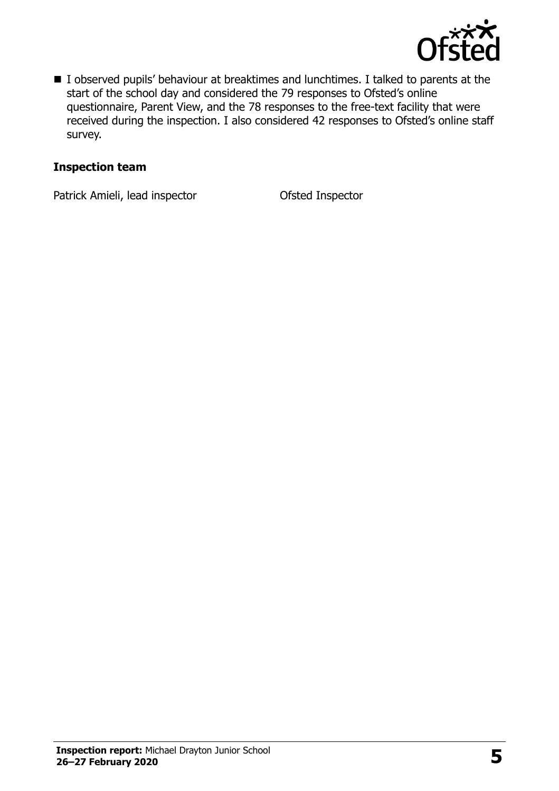

I observed pupils' behaviour at breaktimes and lunchtimes. I talked to parents at the start of the school day and considered the 79 responses to Ofsted's online questionnaire, Parent View, and the 78 responses to the free-text facility that were received during the inspection. I also considered 42 responses to Ofsted's online staff survey.

#### **Inspection team**

Patrick Amieli, lead inspector **Ofsted Inspector**